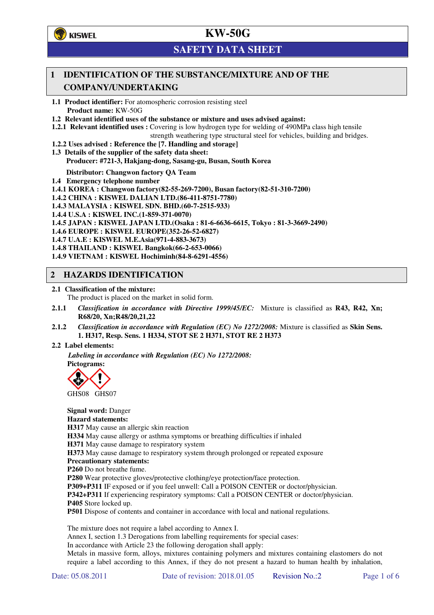

## **SAFETY DATA SHEET**

## **1 IDENTIFICATION OF THE SUBSTANCE/MIXTURE AND OF THE COMPANY/UNDERTAKING**

**1.1 Product identifier:** For atomospheric corrosion resisting steel **Product name:** KW-50G

**1.2 Relevant identified uses of the substance or mixture and uses advised against:**

**1.2.1 Relevant identified uses :** Covering is low hydrogen type for welding of 490MPa class high tensile

strength weathering type structural steel for vehicles, building and bridges.

- **1.2.2 Uses advised : Reference the [7. Handling and storage]**
- **1.3 Details of the supplier of the safety data sheet: Producer: #721-3, Hakjang-dong, Sasang-gu, Busan, South Korea**

**Distributor: Changwon factory QA Team** 

**1.4 Emergency telephone number**

- **1.4.1 KOREA : Changwon factory(82-55-269-7200), Busan factory(82-51-310-7200)**
- **1.4.2 CHINA : KISWEL DALIAN LTD.(86-411-8751-7780)**
- **1.4.3 MALAYSIA : KISWEL SDN. BHD.(60-7-2515-933)**
- **1.4.4 U.S.A : KISWEL INC.(1-859-371-0070)**
- **1.4.5 JAPAN : KISWEL JAPAN LTD.(Osaka : 81-6-6636-6615, Tokyo : 81-3-3669-2490)**
- **1.4.6 EUROPE : KISWEL EUROPE(352-26-52-6827)**
- **1.4.7 U.A.E : KISWEL M.E.Asia(971-4-883-3673)**
- **1.4.8 THAILAND : KISWEL Bangkok(66-2-653-0066)**
- **1.4.9 VIETNAM : KISWEL Hochiminh(84-8-6291-4556)**

### **2 HAZARDS IDENTIFICATION**

**2.1 Classification of the mixture:** 

The product is placed on the market in solid form.

- **2.1.1** *Classification in accordance with Directive 1999/45/EC:* Mixture is classified as **R43, R42, Xn; R68/20, Xn;R48/20,21,22**
- **2.1.2** *Classification in accordance with Regulation (EC) No 1272/2008:* Mixture is classified as **Skin Sens. 1. H317, Resp. Sens. 1 H334, STOT SE 2 H371, STOT RE 2 H373**

#### **2.2 Label elements:**

*Labeling in accordance with Regulation (EC) No 1272/2008:*  **Pictograms:** 



GHS08 GHS07

**Signal word:** Danger **Hazard statements: H317** May cause an allergic skin reaction **H334** May cause allergy or asthma symptoms or breathing difficulties if inhaled **H371** May cause damage to respiratory system **H373** May cause damage to respiratory system through prolonged or repeated exposure **Precautionary statements: P260** Do not breathe fume. **P280** Wear protective gloves/protective clothing/eye protection/face protection. **P309+P311** IF exposed or if you feel unwell: Call a POISON CENTER or doctor/physician. **P342+P311** If experiencing respiratory symptoms: Call a POISON CENTER or doctor/physician. **P405** Store locked up.

**P501** Dispose of contents and container in accordance with local and national regulations.

The mixture does not require a label according to Annex I.

Annex I, section 1.3 Derogations from labelling requirements for special cases:

In accordance with Article 23 the following derogation shall apply:

Metals in massive form, alloys, mixtures containing polymers and mixtures containing elastomers do not require a label according to this Annex, if they do not present a hazard to human health by inhalation,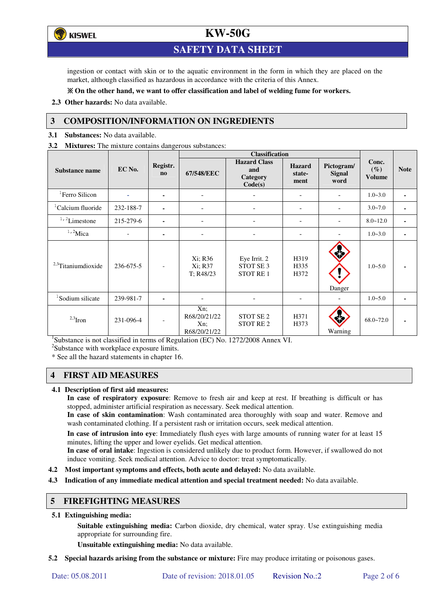**KISWEL** 

## **KW-50G**

## **SAFETY DATA SHEET**

ingestion or contact with skin or to the aquatic environment in the form in which they are placed on the market, although classified as hazardous in accordance with the criteria of this Annex.

### **On the other hand, we want to offer classification and label of welding fume for workers.**

**2.3 Other hazards:** No data available.

### **3 COMPOSITION/INFORMATION ON INGREDIENTS**

**3.1 Substances:** No data available.

**3.2 Mixtures:** The mixture contains dangerous substances:

|                                |                          |                            | <b>Classification</b>                      |                                                         |                                 |                                     |                                  |                |
|--------------------------------|--------------------------|----------------------------|--------------------------------------------|---------------------------------------------------------|---------------------------------|-------------------------------------|----------------------------------|----------------|
| Substance name                 | EC No.                   | Registr.<br>n <sub>0</sub> | 67/548/EEC                                 | <b>Hazard Class</b><br>and<br>Category<br>Code(s)       | <b>Hazard</b><br>state-<br>ment | Pictogram/<br><b>Signal</b><br>word | Conc.<br>$(\%)$<br><b>Volume</b> | <b>Note</b>    |
| <sup>1</sup> Ferro Silicon     |                          | ٠                          |                                            |                                                         |                                 |                                     | $1.0 - 3.0$                      | ٠              |
| <sup>1</sup> Calcium fluoride  | 232-188-7                | $\blacksquare$             | ۰                                          | $\overline{\phantom{0}}$                                | $\overline{\phantom{a}}$        | $\overline{\phantom{a}}$            | $3.0 - 7.0$                      | $\blacksquare$ |
| $1/2$ Limestone                | 215-279-6                | $\blacksquare$             | ۰                                          |                                                         |                                 | $\overline{\phantom{a}}$            | $8.0 - 12.0$                     | ٠              |
| $1,2$ Mica                     | $\overline{\phantom{a}}$ |                            | ۰                                          |                                                         |                                 |                                     | $1.0 - 3.0$                      |                |
| <sup>2,3</sup> Titaniumdioxide | 236-675-5                | $\overline{\phantom{a}}$   | Xi; R36<br>Xi; R37<br>T; R48/23            | Eye Irrit. 2<br>STOT SE <sub>3</sub><br><b>STOT RE1</b> | H319<br>H335<br>H372            | Danger                              | $1.0 - 5.0$                      |                |
| <sup>1</sup> Sodium silicate   | 239-981-7                |                            |                                            |                                                         | ۰                               |                                     | $1.0 - 5.0$                      |                |
| $2,3$ Iron                     | 231-096-4                | $\overline{\phantom{a}}$   | Xn;<br>R68/20/21/22<br>Xn;<br>R68/20/21/22 | STOT SE <sub>2</sub><br>STOT RE <sub>2</sub>            | H371<br>H373                    | Warning                             | $68.0 - 72.0$                    |                |

<sup>1</sup>Substance is not classified in terms of Regulation (EC) No. 1272/2008 Annex VI.

<sup>2</sup>Substance with workplace exposure limits.

\* See all the hazard statements in chapter 16.

### **4 FIRST AID MEASURES**

#### **4.1 Description of first aid measures:**

**In case of respiratory exposure**: Remove to fresh air and keep at rest. If breathing is difficult or has stopped, administer artificial respiration as necessary. Seek medical attention.

**In case of skin contamination**: Wash contaminated area thoroughly with soap and water. Remove and wash contaminated clothing. If a persistent rash or irritation occurs, seek medical attention.

 **In case of intrusion into eye**: Immediately flush eyes with large amounts of running water for at least 15 minutes, lifting the upper and lower eyelids. Get medical attention.

**In case of oral intake**: Ingestion is considered unlikely due to product form. However, if swallowed do not induce vomiting. Seek medical attention. Advice to doctor: treat symptomatically.

- **4.2 Most important symptoms and effects, both acute and delayed:** No data available.
- **4.3 Indication of any immediate medical attention and special treatment needed:** No data available.

### **5 FIREFIGHTING MEASURES**

#### **5.1 Extinguishing media:**

**Suitable extinguishing media:** Carbon dioxide, dry chemical, water spray. Use extinguishing media appropriate for surrounding fire.

**Unsuitable extinguishing media:** No data available.

**5.2 Special hazards arising from the substance or mixture:** Fire may produce irritating or poisonous gases.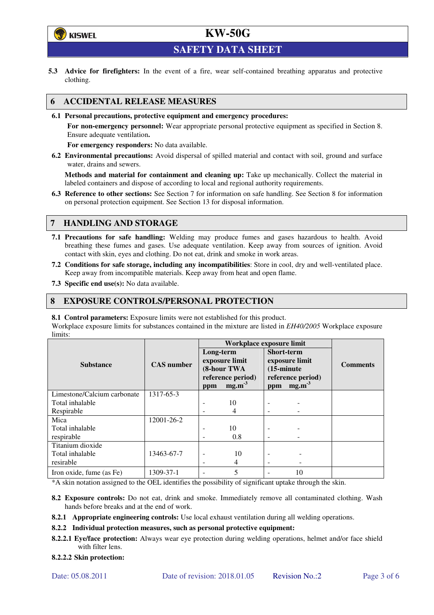

**SAFETY DATA SHEET** 

**5.3 Advice for firefighters:** In the event of a fire, wear self-contained breathing apparatus and protective clothing.

### **6 ACCIDENTAL RELEASE MEASURES**

**6.1 Personal precautions, protective equipment and emergency procedures:** 

**For non-emergency personnel:** Wear appropriate personal protective equipment as specified in Section 8. Ensure adequate ventilation**.** 

**For emergency responders:** No data available.

**6.2 Environmental precautions:** Avoid dispersal of spilled material and contact with soil, ground and surface water, drains and sewers.

**Methods and material for containment and cleaning up:** Take up mechanically. Collect the material in labeled containers and dispose of according to local and regional authority requirements.

**6.3 Reference to other sections:** See Section 7 for information on safe handling. See Section 8 for information on personal protection equipment. See Section 13 for disposal information.

## **7 HANDLING AND STORAGE**

- **7.1 Precautions for safe handling:** Welding may produce fumes and gases hazardous to health. Avoid breathing these fumes and gases. Use adequate ventilation. Keep away from sources of ignition. Avoid contact with skin, eyes and clothing. Do not eat, drink and smoke in work areas.
- **7.2 Conditions for safe storage, including any incompatibilities**: Store in cool, dry and well-ventilated place. Keep away from incompatible materials. Keep away from heat and open flame.
- **7.3 Specific end use(s):** No data available.

### **8 EXPOSURE CONTROLS/PERSONAL PROTECTION**

**8.1 Control parameters:** Exposure limits were not established for this product.

Workplace exposure limits for substances contained in the mixture are listed in *EH40/2005* Workplace exposure limits:

|                             |                   | Workplace exposure limit                                                           |     |                                                                                                              |    |                 |  |
|-----------------------------|-------------------|------------------------------------------------------------------------------------|-----|--------------------------------------------------------------------------------------------------------------|----|-----------------|--|
| <b>Substance</b>            | <b>CAS</b> number | Long-term<br>exposure limit<br>(8-hour TWA<br>reference period)<br>$mg.m-3$<br>ppm |     | <b>Short-term</b><br>exposure limit<br>$(15\text{-minute})$<br>reference period)<br>mg.m <sup>3</sup><br>ppm |    | <b>Comments</b> |  |
| Limestone/Calcium carbonate | 1317-65-3         |                                                                                    |     |                                                                                                              |    |                 |  |
| Total inhalable             |                   | ۰                                                                                  | 10  |                                                                                                              |    |                 |  |
| Respirable                  |                   | $\overline{\phantom{a}}$                                                           | 4   |                                                                                                              |    |                 |  |
| Mica                        | 12001-26-2        |                                                                                    |     |                                                                                                              |    |                 |  |
| Total inhalable             |                   | $\overline{\phantom{0}}$                                                           | 10  | $\qquad \qquad \blacksquare$                                                                                 |    |                 |  |
| respirable                  |                   | -                                                                                  | 0.8 |                                                                                                              |    |                 |  |
| Titanium dioxide            |                   |                                                                                    |     |                                                                                                              |    |                 |  |
| Total inhalable             | 13463-67-7        | -                                                                                  | 10  |                                                                                                              |    |                 |  |
| resirable                   |                   | $\overline{\phantom{a}}$                                                           | 4   | $\overline{\phantom{a}}$                                                                                     |    |                 |  |
| Iron oxide, fume (as Fe)    | 1309-37-1         | ۰                                                                                  | 5   |                                                                                                              | 10 |                 |  |

\*A skin notation assigned to the OEL identifies the possibility of significant uptake through the skin.

- **8.2 Exposure controls:** Do not eat, drink and smoke. Immediately remove all contaminated clothing. Wash hands before breaks and at the end of work.
- **8.2.1 Appropriate engineering controls:** Use local exhaust ventilation during all welding operations.

**8.2.2 Individual protection measures, such as personal protective equipment:** 

**8.2.2.1 Eye/face protection:** Always wear eye protection during welding operations, helmet and/or face shield with filter lens.

#### **8.2.2.2 Skin protection:**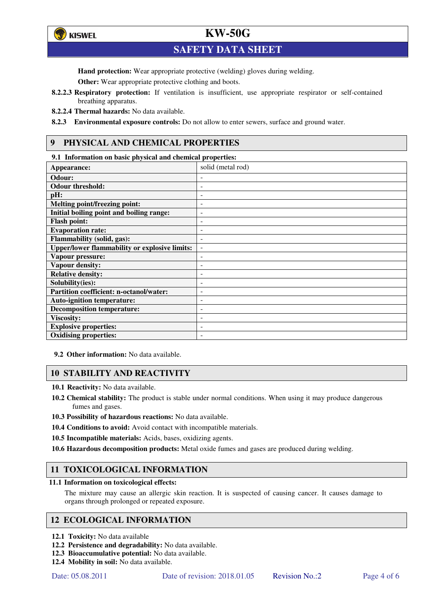

**SAFETY DATA SHEET** 

**Hand protection:** Wear appropriate protective (welding) gloves during welding.

**Other:** Wear appropriate protective clothing and boots.

- **8.2.2.3 Respiratory protection:** If ventilation is insufficient, use appropriate respirator or self-contained breathing apparatus.
- **8.2.2.4 Thermal hazards:** No data available.
- **8.2.3 Environmental exposure controls:** Do not allow to enter sewers, surface and ground water.

## **9 PHYSICAL AND CHEMICAL PROPERTIES**

**9.1 Information on basic physical and chemical properties:** 

| Appearance:                                          | solid (metal rod)        |
|------------------------------------------------------|--------------------------|
| Odour:                                               |                          |
| <b>Odour threshold:</b>                              |                          |
| pH:                                                  | $\overline{\phantom{a}}$ |
| <b>Melting point/freezing point:</b>                 |                          |
| Initial boiling point and boiling range:             | $\qquad \qquad -$        |
| <b>Flash point:</b>                                  | ۰                        |
| <b>Evaporation rate:</b>                             | ۰                        |
| Flammability (solid, gas):                           | -                        |
| <b>Upper/lower flammability or explosive limits:</b> | $\overline{\phantom{a}}$ |
| Vapour pressure:                                     | ۰                        |
| Vapour density:                                      |                          |
| <b>Relative density:</b>                             |                          |
| Solubility(ies):                                     | ٠                        |
| Partition coefficient: n-octanol/water:              | ٠                        |
| <b>Auto-ignition temperature:</b>                    |                          |
| <b>Decomposition temperature:</b>                    | ٠                        |
| <b>Viscosity:</b>                                    |                          |
| <b>Explosive properties:</b>                         | ۰                        |
| <b>Oxidising properties:</b>                         | -                        |

**<sup>9.2</sup> Other information:** No data available.

### **10 STABILITY AND REACTIVITY**

**10.1 Reactivity:** No data available.

- **10.2 Chemical stability:** The product is stable under normal conditions. When using it may produce dangerous fumes and gases.
- **10.3 Possibility of hazardous reactions:** No data available.
- **10.4 Conditions to avoid:** Avoid contact with incompatible materials.
- **10.5 Incompatible materials:** Acids, bases, oxidizing agents.

**10.6 Hazardous decomposition products:** Metal oxide fumes and gases are produced during welding.

### **11 TOXICOLOGICAL INFORMATION**

**11.1 Information on toxicological effects:**

The mixture may cause an allergic skin reaction. It is suspected of causing cancer. It causes damage to organs through prolonged or repeated exposure.

### **12 ECOLOGICAL INFORMATION**

- **12.1 Toxicity:** No data available
- **12.2 Persistence and degradability:** No data available.
- **12.3 Bioaccumulative potential:** No data available.
- **12.4 Mobility in soil:** No data available.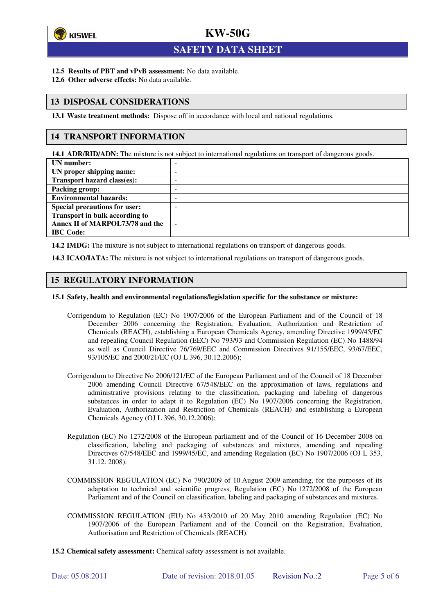

l

# **KW-50G**

## **SAFETY DATA SHEET**

- **12.5 Results of PBT and vPvB assessment:** No data available.
- **12.6 Other adverse effects:** No data available.

## **13 DISPOSAL CONSIDERATIONS**

**13.1 Waste treatment methods:** Dispose off in accordance with local and national regulations.

## **14 TRANSPORT INFORMATION**

**14.1 ADR/RID/ADN:** The mixture is not subject to international regulations on transport of dangerous goods.

| UN number:                            | - |
|---------------------------------------|---|
| UN proper shipping name:              | - |
| Transport hazard class(es):           | - |
| Packing group:                        | - |
| <b>Environmental hazards:</b>         | - |
| <b>Special precautions for user:</b>  | - |
| <b>Transport in bulk according to</b> |   |
| Annex II of MARPOL73/78 and the       | ÷ |
| <b>IBC</b> Code:                      |   |

**14.2 IMDG:** The mixture is not subject to international regulations on transport of dangerous goods.

**14.3 ICAO/IATA:** The mixture is not subject to international regulations on transport of dangerous goods.

## **15 REGULATORY INFORMATION**

#### **15.1 Safety, health and environmental regulations/legislation specific for the substance or mixture:**

- Corrigendum to Regulation (EC) No 1907/2006 of the European Parliament and of the Council of 18 December 2006 concerning the Registration, Evaluation, Authorization and Restriction of Chemicals (REACH), establishing a European Chemicals Agency, amending Directive 1999/45/EC and repealing Council Regulation (EEC) No 793/93 and Commission Regulation (EC) No 1488/94 as well as Council Directive 76/769/EEC and Commission Directives 91/155/EEC, 93/67/EEC, 93/105/EC and 2000/21/EC (OJ L 396, 30.12.2006);
- Corrigendum to Directive No 2006/121/EC of the European Parliament and of the Council of 18 December 2006 amending Council Directive 67/548/EEC on the approximation of laws, regulations and administrative provisions relating to the classification, packaging and labeling of dangerous substances in order to adapt it to Regulation (EC) No 1907/2006 concerning the Registration, Evaluation, Authorization and Restriction of Chemicals (REACH) and establishing a European Chemicals Agency (OJ L 396, 30.12.2006);
- Regulation (EC) No 1272/2008 of the European parliament and of the Council of 16 December 2008 on classification, labeling and packaging of substances and mixtures, amending and repealing Directives 67/548/EEC and 1999/45/EC, and amending Regulation (EC) No 1907/2006 (OJ L 353, 31.12. 2008).
- COMMISSION REGULATION (EC) No 790/2009 of 10 August 2009 amending, for the purposes of its adaptation to technical and scientific progress, Regulation (EC) No 1272/2008 of the European Parliament and of the Council on classification, labeling and packaging of substances and mixtures.
- COMMISSION REGULATION (EU) No 453/2010 of 20 May 2010 amending Regulation (EC) No 1907/2006 of the European Parliament and of the Council on the Registration, Evaluation, Authorisation and Restriction of Chemicals (REACH).
- **15.2 Chemical safety assessment:** Chemical safety assessment is not available.